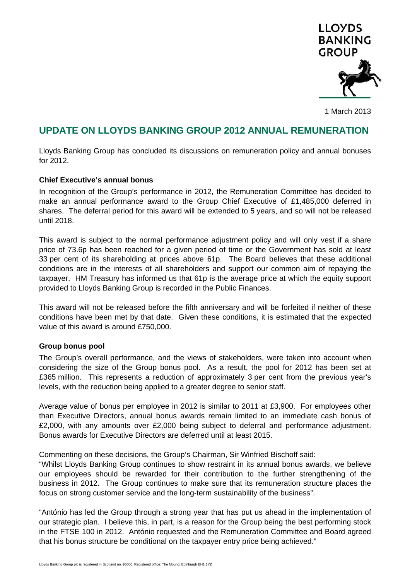

1 March 2013

# **UPDATE ON LLOYDS BANKING GROUP 2012 ANNUAL REMUNERATION**

Lloyds Banking Group has concluded its discussions on remuneration policy and annual bonuses for 2012.

## **Chief Executive's annual bonus**

In recognition of the Group's performance in 2012, the Remuneration Committee has decided to make an annual performance award to the Group Chief Executive of £1,485,000 deferred in shares. The deferral period for this award will be extended to 5 years, and so will not be released until 2018.

This award is subject to the normal performance adjustment policy and will only vest if a share price of 73.6p has been reached for a given period of time or the Government has sold at least 33 per cent of its shareholding at prices above 61p. The Board believes that these additional conditions are in the interests of all shareholders and support our common aim of repaying the taxpayer. HM Treasury has informed us that 61p is the average price at which the equity support provided to Lloyds Banking Group is recorded in the Public Finances.

This award will not be released before the fifth anniversary and will be forfeited if neither of these conditions have been met by that date. Given these conditions, it is estimated that the expected value of this award is around £750,000.

## **Group bonus pool**

The Group's overall performance, and the views of stakeholders, were taken into account when considering the size of the Group bonus pool. As a result, the pool for 2012 has been set at £365 million. This represents a reduction of approximately 3 per cent from the previous year's levels, with the reduction being applied to a greater degree to senior staff.

Average value of bonus per employee in 2012 is similar to 2011 at £3,900. For employees other than Executive Directors, annual bonus awards remain limited to an immediate cash bonus of £2,000, with any amounts over £2,000 being subject to deferral and performance adjustment. Bonus awards for Executive Directors are deferred until at least 2015.

Commenting on these decisions, the Group's Chairman, Sir Winfried Bischoff said:

"Whilst Lloyds Banking Group continues to show restraint in its annual bonus awards, we believe our employees should be rewarded for their contribution to the further strengthening of the business in 2012. The Group continues to make sure that its remuneration structure places the focus on strong customer service and the long-term sustainability of the business".

"António has led the Group through a strong year that has put us ahead in the implementation of our strategic plan. I believe this, in part, is a reason for the Group being the best performing stock in the FTSE 100 in 2012. António requested and the Remuneration Committee and Board agreed that his bonus structure be conditional on the taxpayer entry price being achieved."